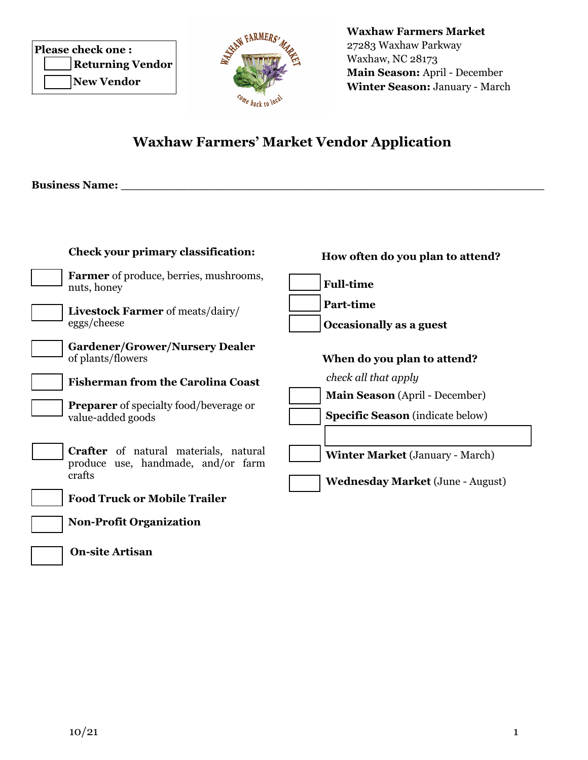| <b>Please check one:</b> |
|--------------------------|
| <b>Returning Vendor</b>  |
| New Vendor               |

**Waxhaw Farmers Market** 27283 Waxhaw Parkway Waxhaw, NC 28173 **Main Season:** April - December **Winter Season:** January - March

## **Waxhaw Farmers' Market Vendor Application**

**Business Name: \_\_\_\_\_\_\_\_\_\_\_\_\_\_\_\_\_\_\_\_\_\_\_\_\_\_\_\_\_\_\_\_\_\_\_\_\_\_\_\_\_\_\_\_\_\_\_\_\_\_\_\_\_\_\_\_\_**

| <b>Check your primary classification:</b>                                                    | How often do you plan to attend?                                                  |
|----------------------------------------------------------------------------------------------|-----------------------------------------------------------------------------------|
| <b>Farmer</b> of produce, berries, mushrooms,<br>nuts, honey                                 | <b>Full-time</b>                                                                  |
| <b>Livestock Farmer</b> of meats/dairy/<br>eggs/cheese                                       | <b>Part-time</b><br>Occasionally as a guest                                       |
| <b>Gardener/Grower/Nursery Dealer</b><br>of plants/flowers                                   | When do you plan to attend?                                                       |
| <b>Fisherman from the Carolina Coast</b>                                                     | check all that apply                                                              |
| <b>Preparer</b> of specialty food/beverage or<br>value-added goods                           | Main Season (April - December)<br><b>Specific Season</b> (indicate below)         |
| <b>Crafter</b> of natural materials, natural<br>produce use, handmade, and/or farm<br>crafts | <b>Winter Market</b> (January - March)<br><b>Wednesday Market (June - August)</b> |
| <b>Food Truck or Mobile Trailer</b>                                                          |                                                                                   |
| <b>Non-Profit Organization</b>                                                               |                                                                                   |
| <b>On-site Artisan</b>                                                                       |                                                                                   |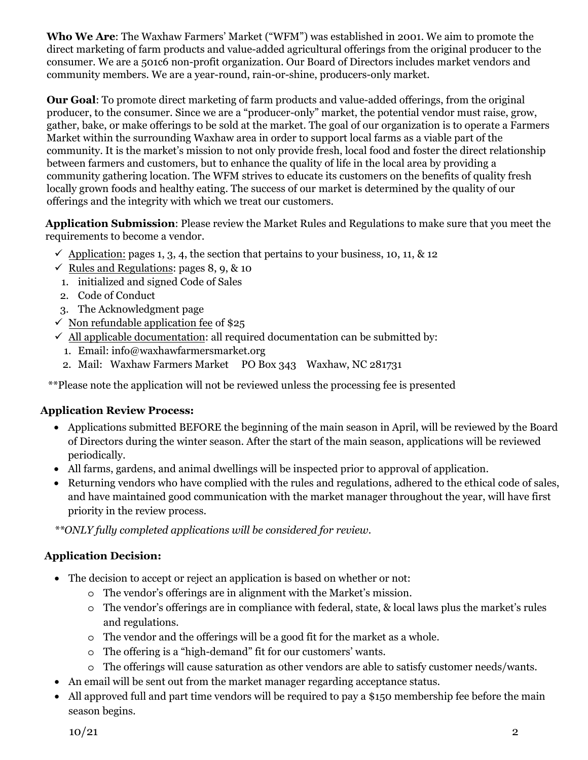**Who We Are**: The Waxhaw Farmers' Market ("WFM") was established in 2001. We aim to promote the direct marketing of farm products and value-added agricultural offerings from the original producer to the consumer. We are a 501c6 non-profit organization. Our Board of Directors includes market vendors and community members. We are a year-round, rain-or-shine, producers-only market.

**Our Goal**: To promote direct marketing of farm products and value-added offerings, from the original producer, to the consumer. Since we are a "producer-only" market, the potential vendor must raise, grow, gather, bake, or make offerings to be sold at the market. The goal of our organization is to operate a Farmers Market within the surrounding Waxhaw area in order to support local farms as a viable part of the community. It is the market's mission to not only provide fresh, local food and foster the direct relationship between farmers and customers, but to enhance the quality of life in the local area by providing a community gathering location. The WFM strives to educate its customers on the benefits of quality fresh locally grown foods and healthy eating. The success of our market is determined by the quality of our offerings and the integrity with which we treat our customers.

**Application Submission**: Please review the Market Rules and Regulations to make sure that you meet the requirements to become a vendor.

- $\checkmark$  Application: pages 1, 3, 4, the section that pertains to your business, 10, 11, & 12
- $\checkmark$  Rules and Regulations: pages 9, 10, & 11
- 1. initialized and signed Code of Sales
- 2. Code of Conduct
- 3. The Acknowledgment page
- $\checkmark$  Non refundable application fee of \$25
- $\checkmark$  All applicable documentation: all required documentation can be submitted by:
	- 1. Email: info@waxhawfarmersmarket.org
	- 2. Mail: Waxhaw Farmers Market PO Box 343 Waxhaw, NC 281731

\*\*Please note the application will not be reviewed unless the processing fee is presented

#### **Application Review Process:**

- Applications submitted BEFORE the beginning of the main season in April, will be reviewed by the Board of Directors during the winter season. After the start of the main season, applications will be reviewed periodically.
- All farms, gardens, and animal dwellings will be inspected prior to approval of application.
- Returning vendors who have complied with the rules and regulations, adhered to the ethical code of sales, and have maintained good communication with the market manager throughout the year, will have first priority in the review process.

 *\*\*ONLY fully completed applications will be considered for review.*

### **Application Decision:**

- The decision to accept or reject an application is based on whether or not:
	- o The vendor's offerings are in alignment with the Market's mission.
	- o The vendor's offerings are in compliance with federal, state, & local laws plus the market's rules and regulations.
	- o The vendor and the offerings will be a good fit for the market as a whole.
	- o The offering is a "high-demand" fit for our customers' wants.
	- o The offerings will cause saturation as other vendors are able to satisfy customer needs/wants.
- An email will be sent out from the market manager regarding acceptance status.
- All approved full and part time vendors will be required to pay a \$150 membership fee before the main season begins.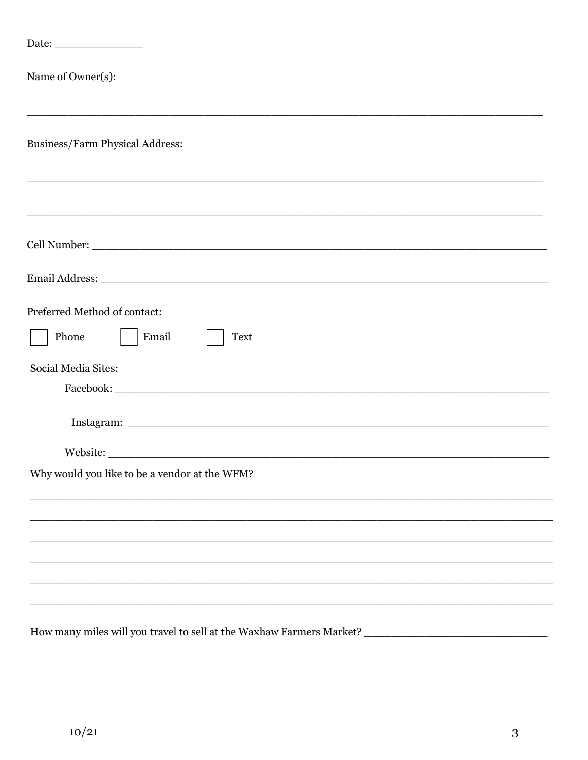| Name of Owner(s):                                                                                                    |
|----------------------------------------------------------------------------------------------------------------------|
| Business/Farm Physical Address:<br>,我们也不能会有什么。""我们的人,我们也不能会有什么?""我们的人,我们也不能会有什么?""我们的人,我们也不能会有什么?""我们的人,我们也不能会有什么?"" |
| ,我们也不能会在这里,我们的人们就会在这里,我们也不能会在这里,我们也不能会在这里,我们也不能会在这里,我们也不能会在这里,我们也不能会不能会不能会。""我们,我                                    |
|                                                                                                                      |
|                                                                                                                      |
| Preferred Method of contact:<br>Phone<br>Email<br><b>Text</b>                                                        |
| Social Media Sites:                                                                                                  |
|                                                                                                                      |
|                                                                                                                      |
| Why would you like to be a vendor at the WFM?                                                                        |
|                                                                                                                      |
|                                                                                                                      |
|                                                                                                                      |
|                                                                                                                      |
|                                                                                                                      |
|                                                                                                                      |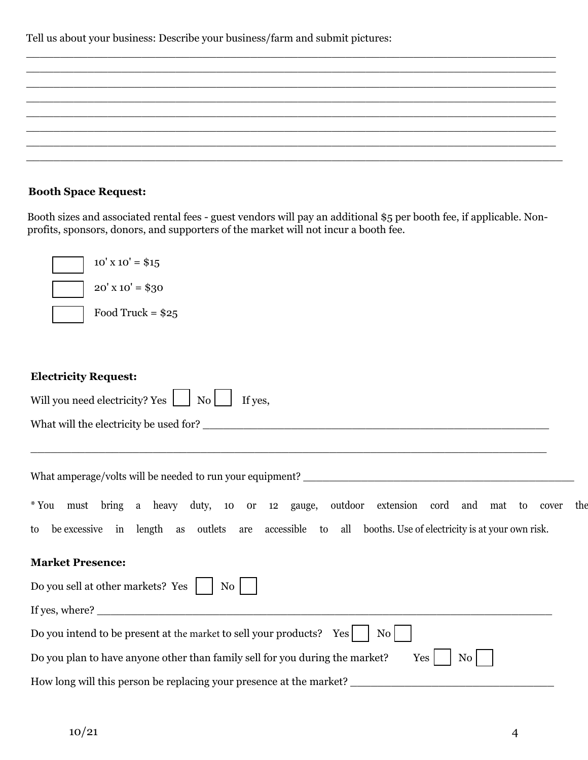Tell us about your business: Describe your business/farm and submit pictures:

| <u> 1990 - Jan Jan James, Amerikaansk politiker (* 1900)</u>                                                          |  |  |
|-----------------------------------------------------------------------------------------------------------------------|--|--|
| <u> 1980 - Johann John Stone, Amerikaansk politiker (* 1905)</u>                                                      |  |  |
| <u> 2007 - 2018 - 2019 - 2019 - 2019 - 2019 - 2019 - 2019 - 2019 - 2019 - 2019 - 2019 - 2019 - 2019 - 2019 - 20</u>   |  |  |
| <u> 1990 - Jan James James James James James James James James James James James James James James James James Ja</u> |  |  |
| <u> 1980 - Jan James James James James James James James James James James James James James James James James J</u>  |  |  |
|                                                                                                                       |  |  |
|                                                                                                                       |  |  |
|                                                                                                                       |  |  |

#### **Booth Space Request:**

Booth sizes and associated rental fees - guest vendors will pay an additional \$5 per booth fee, if applicable. Nonprofits, sponsors, donors, and supporters of the market will not incur a booth fee.

| $10'$ x $10'$ = \$15                                                                                                                                                                                          |
|---------------------------------------------------------------------------------------------------------------------------------------------------------------------------------------------------------------|
| $20'$ x $10'$ = \$30                                                                                                                                                                                          |
| Food Truck = $$25$                                                                                                                                                                                            |
|                                                                                                                                                                                                               |
| <b>Electricity Request:</b>                                                                                                                                                                                   |
| Will you need electricity? Yes [100] No<br>If yes,                                                                                                                                                            |
| <u> 1999 - Johann Stoff, amerikan berkema di sebagai berkema di sebagai berkema di sebagai berkema di sebagai be</u>                                                                                          |
|                                                                                                                                                                                                               |
| *You must bring a heavy duty, 10 or 12 gauge, outdoor extension cord and mat to cover<br>the<br>be excessive in length as outlets are accessible to all booths. Use of electricity is at your own risk.<br>to |
| <b>Market Presence:</b>                                                                                                                                                                                       |
| Do you sell at other markets? Yes     No                                                                                                                                                                      |
|                                                                                                                                                                                                               |
| Do you intend to be present at the market to sell your products? Yes  <br>$\overline{N_{0}}$                                                                                                                  |
| Do you plan to have anyone other than family sell for you during the market?<br>Yes<br>N <sub>0</sub>                                                                                                         |
| How long will this person be replacing your presence at the market?                                                                                                                                           |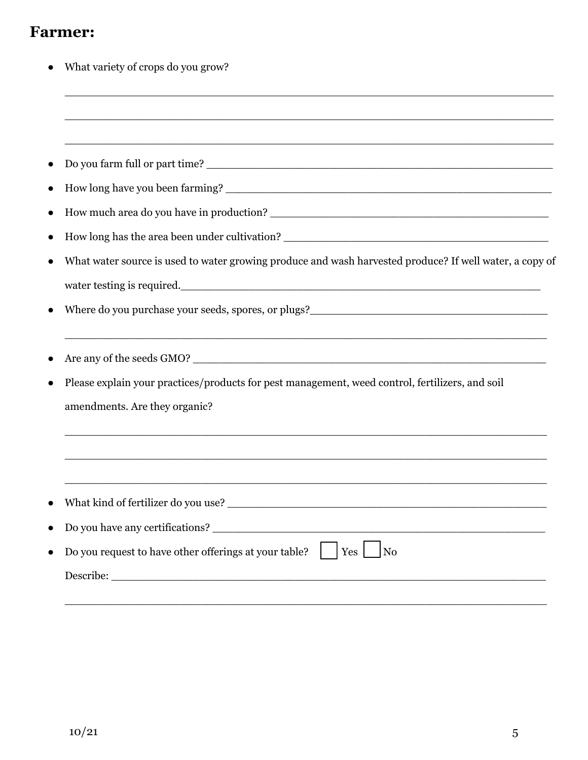# **Farmer:**

| What variety of crops do you grow?                                                                                                                                                                                                    |
|---------------------------------------------------------------------------------------------------------------------------------------------------------------------------------------------------------------------------------------|
| <u> 1990 - Johann John Stone, market fransk politiker (d. 1980)</u>                                                                                                                                                                   |
|                                                                                                                                                                                                                                       |
|                                                                                                                                                                                                                                       |
|                                                                                                                                                                                                                                       |
|                                                                                                                                                                                                                                       |
| How long has the area been under cultivation? ___________________________________                                                                                                                                                     |
| What water source is used to water growing produce and wash harvested produce? If well water, a copy of                                                                                                                               |
| water testing is required.                                                                                                                                                                                                            |
| Where do you purchase your seeds, spores, or plugs?<br><u>Letting and the contract of the spore</u> of the spore of the spore of the spore of the spore of the spore of the spore of the spore of the spore of the spore of the spore |
| Are any of the seeds GMO?                                                                                                                                                                                                             |
| Please explain your practices/products for pest management, weed control, fertilizers, and soil                                                                                                                                       |
| amendments. Are they organic?                                                                                                                                                                                                         |
|                                                                                                                                                                                                                                       |
|                                                                                                                                                                                                                                       |
|                                                                                                                                                                                                                                       |
| Do you request to have other offerings at your table?<br>Yes<br>N <sub>o</sub>                                                                                                                                                        |
|                                                                                                                                                                                                                                       |

\_\_\_\_\_\_\_\_\_\_\_\_\_\_\_\_\_\_\_\_\_\_\_\_\_\_\_\_\_\_\_\_\_\_\_\_\_\_\_\_\_\_\_\_\_\_\_\_\_\_\_\_\_\_\_\_\_\_\_\_\_\_\_\_\_\_\_\_\_\_\_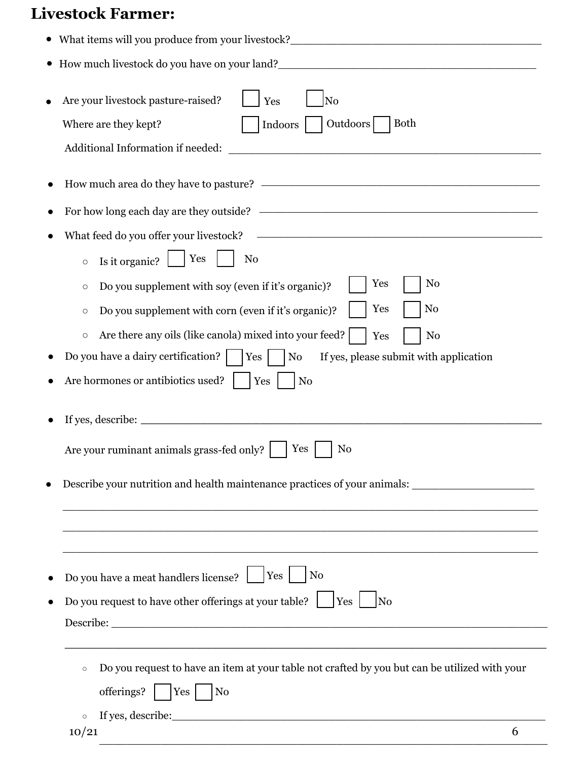# **Livestock Farmer:**

|           | • What items will you produce from your livestock?_______________________________                                                                                                                                                                                                                                                                                                                                                                                                                                                                                                                                                                              |
|-----------|----------------------------------------------------------------------------------------------------------------------------------------------------------------------------------------------------------------------------------------------------------------------------------------------------------------------------------------------------------------------------------------------------------------------------------------------------------------------------------------------------------------------------------------------------------------------------------------------------------------------------------------------------------------|
|           |                                                                                                                                                                                                                                                                                                                                                                                                                                                                                                                                                                                                                                                                |
|           | N <sub>0</sub><br>Are your livestock pasture-raised?<br>Yes<br>Outdoors<br>Where are they kept?<br><b>Both</b><br>Indoors<br>Additional Information if needed:<br><u> 1980 - Jan Barnett, fransk politik (d. 1980)</u>                                                                                                                                                                                                                                                                                                                                                                                                                                         |
|           |                                                                                                                                                                                                                                                                                                                                                                                                                                                                                                                                                                                                                                                                |
|           |                                                                                                                                                                                                                                                                                                                                                                                                                                                                                                                                                                                                                                                                |
| $\bullet$ | What feed do you offer your livestock?<br>Yes<br>No<br>Is it organic?<br>$\circ$<br>Yes<br>N <sub>0</sub><br>Do you supplement with soy (even if it's organic)?<br>$\circ$<br>No<br>Yes<br>Do you supplement with corn (even if it's organic)?<br>$\circ$<br>Are there any oils (like canola) mixed into your feed?<br>N <sub>o</sub><br>Yes<br>$\circ$<br>Do you have a dairy certification? $ $   Yes  <br>No<br>If yes, please submit with application<br>Are hormones or antibiotics used?<br>Yes<br>N <sub>o</sub><br>Yes<br>Are your ruminant animals grass-fed only?<br>No<br>Describe your nutrition and health maintenance practices of your animals: |
|           | Yes <br>Do you have a meat handlers license?<br>  No<br>Do you request to have other offerings at your table? $\lfloor \ \vert$ Yes $\rfloor$<br>$\overline{\rm No}$<br>Do you request to have an item at your table not crafted by you but can be utilized with your<br>$\circ$<br>offerings?   $ Yes $   No<br>$\circ$                                                                                                                                                                                                                                                                                                                                       |
|           | 10/21<br>6                                                                                                                                                                                                                                                                                                                                                                                                                                                                                                                                                                                                                                                     |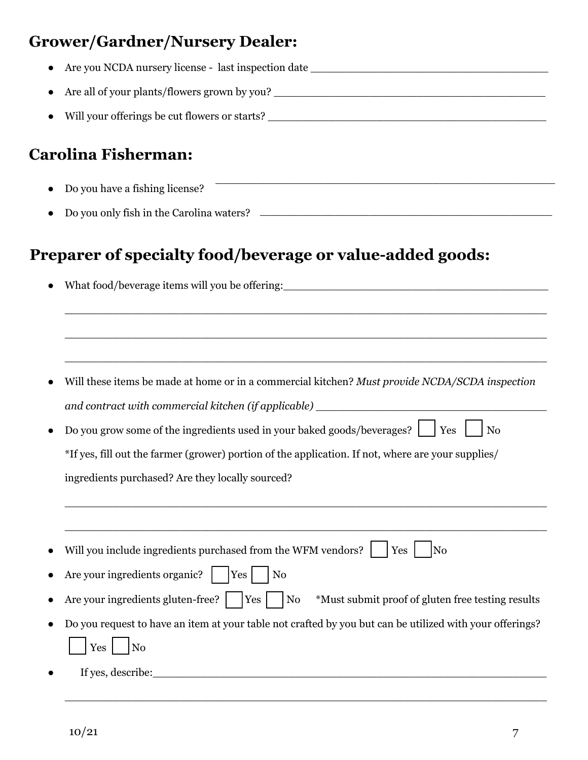# **Grower/Gardner/Nursery Dealer:**

| Are all of your plants/flowers grown by you?<br><u>Land and all of your plants/flowers grown by you?</u>                                                                                                                       |
|--------------------------------------------------------------------------------------------------------------------------------------------------------------------------------------------------------------------------------|
|                                                                                                                                                                                                                                |
| <b>Carolina Fisherman:</b>                                                                                                                                                                                                     |
| Do you have a fishing license?                                                                                                                                                                                                 |
| Do you only fish in the Carolina waters? The Carolina waters and the Carolina waters of the Carolina waters and the Carolina waters and the Carolina waters and the Carolina waters and the Carolina waters and the Carolina w |
|                                                                                                                                                                                                                                |
| Will these items be made at home or in a commercial kitchen? Must provide NCDA/SCDA inspection                                                                                                                                 |
|                                                                                                                                                                                                                                |
| Do you grow some of the ingredients used in your baked goods/beverages?    Yes<br>N <sub>o</sub>                                                                                                                               |
| *If yes, fill out the farmer (grower) portion of the application. If not, where are your supplies/                                                                                                                             |
| ingredients purchased? Are they locally sourced?                                                                                                                                                                               |
| Will you include ingredients purchased from the WFM vendors?<br>Yes<br>N <sub>o</sub>                                                                                                                                          |
|                                                                                                                                                                                                                                |
| Are your ingredients organic?<br>Yes<br>N <sub>0</sub>                                                                                                                                                                         |
| Are your ingredients gluten-free?       Yes  <br>N <sub>0</sub><br>*Must submit proof of gluten free testing results                                                                                                           |
| Do you request to have an item at your table not crafted by you but can be utilized with your offerings?                                                                                                                       |
| $\log$<br>Yes                                                                                                                                                                                                                  |

\_\_\_\_\_\_\_\_\_\_\_\_\_\_\_\_\_\_\_\_\_\_\_\_\_\_\_\_\_\_\_\_\_\_\_\_\_\_\_\_\_\_\_\_\_\_\_\_\_\_\_\_\_\_\_\_\_\_\_\_\_\_\_\_\_\_\_\_\_\_\_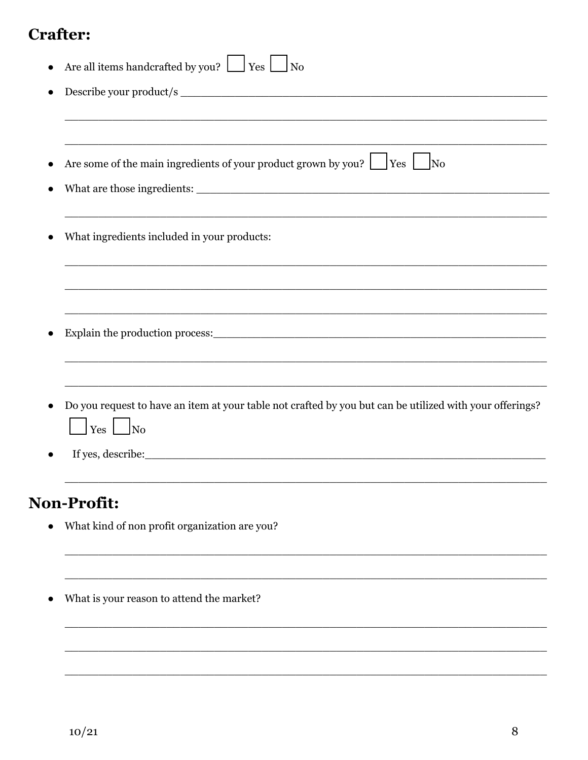## **Crafter:**

| Are all items handcrafted by you? $\Box$ Yes $\Box$ No                                                   |
|----------------------------------------------------------------------------------------------------------|
|                                                                                                          |
|                                                                                                          |
|                                                                                                          |
| Are some of the main ingredients of your product grown by you? $\Box$ Yes<br>$\overline{N_{0}}$          |
|                                                                                                          |
|                                                                                                          |
| What ingredients included in your products:                                                              |
|                                                                                                          |
|                                                                                                          |
|                                                                                                          |
|                                                                                                          |
|                                                                                                          |
|                                                                                                          |
| Do you request to have an item at your table not crafted by you but can be utilized with your offerings? |
| $Yes \mid$ No                                                                                            |
|                                                                                                          |
|                                                                                                          |
|                                                                                                          |

# Non-Profit:

- $\bullet$  What kind of non profit organization are you?
- What is your reason to attend the market?  $\bullet$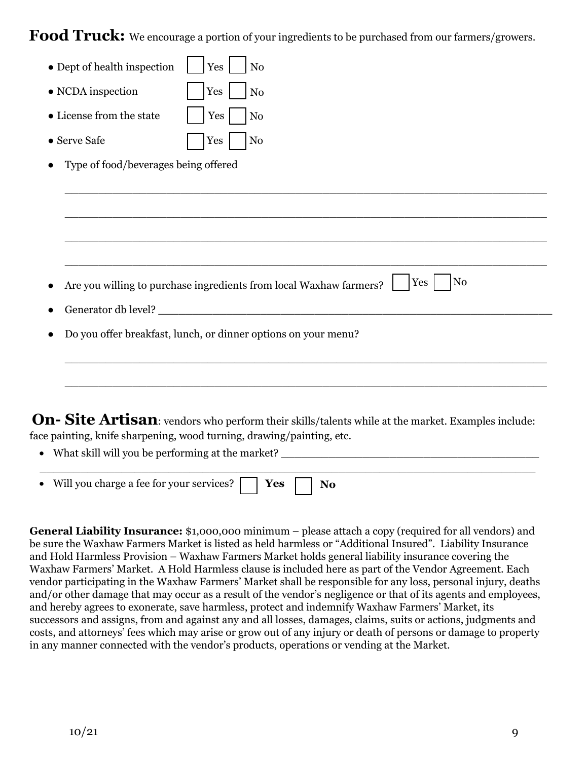Food Truck: We encourage a portion of your ingredients to be purchased from our farmers/growers.

| • Dept of health inspection          | Yes<br>No                                                                                         |
|--------------------------------------|---------------------------------------------------------------------------------------------------|
| • NCDA inspection                    | Yes<br>N <sub>o</sub>                                                                             |
| • License from the state             | Yes<br>N <sub>o</sub>                                                                             |
| • Serve Safe                         | $\rm No$<br>Yes                                                                                   |
| Type of food/beverages being offered |                                                                                                   |
|                                      |                                                                                                   |
|                                      |                                                                                                   |
|                                      |                                                                                                   |
|                                      |                                                                                                   |
|                                      | $\rm No$<br>Yes<br>Are you willing to purchase ingredients from local Waxhaw farmers?             |
|                                      |                                                                                                   |
|                                      | Do you offer breakfast, lunch, or dinner options on your menu?                                    |
|                                      |                                                                                                   |
|                                      |                                                                                                   |
|                                      |                                                                                                   |
|                                      | On- Site Artisan: vendors who perform their skills/talents while at the market. Examples include: |
|                                      | face painting, knife sharpening, wood turning, drawing/painting, etc.                             |

• What skill will you be performing at the market? \_\_\_\_\_\_\_\_\_\_\_\_\_\_\_\_\_\_\_\_\_\_\_\_\_\_\_\_\_

| • Will you charge a fee for your services? $\Box$ Yes |  |  |  |
|-------------------------------------------------------|--|--|--|

**General Liability Insurance:** \$1,000,000 minimum – please attach a copy (required for all vendors) and be sure the Waxhaw Farmers Market is listed as held harmless or "Additional Insured". Liability Insurance and Hold Harmless Provision – Waxhaw Farmers Market holds general liability insurance covering the Waxhaw Farmers' Market. A Hold Harmless clause is included here as part of the Vendor Agreement. Each vendor participating in the Waxhaw Farmers' Market shall be responsible for any loss, personal injury, deaths and/or other damage that may occur as a result of the vendor's negligence or that of its agents and employees, and hereby agrees to exonerate, save harmless, protect and indemnify Waxhaw Farmers' Market, its successors and assigns, from and against any and all losses, damages, claims, suits or actions, judgments and costs, and attorneys' fees which may arise or grow out of any injury or death of persons or damage to property in any manner connected with the vendor's products, operations or vending at the Market.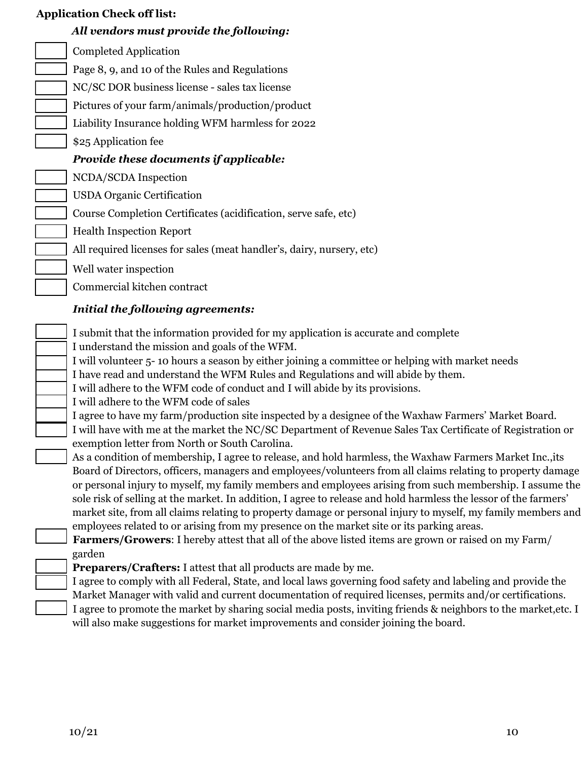| <b>Application Check off list:</b> |                                                                                                                                                                                                                                                                                                                                                                                                                                                                                                                                                          |  |
|------------------------------------|----------------------------------------------------------------------------------------------------------------------------------------------------------------------------------------------------------------------------------------------------------------------------------------------------------------------------------------------------------------------------------------------------------------------------------------------------------------------------------------------------------------------------------------------------------|--|
|                                    | All vendors must provide the following:                                                                                                                                                                                                                                                                                                                                                                                                                                                                                                                  |  |
|                                    | <b>Completed Application</b>                                                                                                                                                                                                                                                                                                                                                                                                                                                                                                                             |  |
|                                    | Page 8, 9, and 10 of the Rules and Regulations                                                                                                                                                                                                                                                                                                                                                                                                                                                                                                           |  |
|                                    | NC/SC DOR business license - sales tax license                                                                                                                                                                                                                                                                                                                                                                                                                                                                                                           |  |
|                                    | Pictures of your farm/animals/production/product                                                                                                                                                                                                                                                                                                                                                                                                                                                                                                         |  |
|                                    | Liability Insurance holding WFM harmless for 2022                                                                                                                                                                                                                                                                                                                                                                                                                                                                                                        |  |
|                                    | \$25 Application fee                                                                                                                                                                                                                                                                                                                                                                                                                                                                                                                                     |  |
|                                    | Provide these documents if applicable:                                                                                                                                                                                                                                                                                                                                                                                                                                                                                                                   |  |
|                                    | NCDA/SCDA Inspection                                                                                                                                                                                                                                                                                                                                                                                                                                                                                                                                     |  |
|                                    | <b>USDA Organic Certification</b>                                                                                                                                                                                                                                                                                                                                                                                                                                                                                                                        |  |
|                                    | Course Completion Certificates (acidification, serve safe, etc)                                                                                                                                                                                                                                                                                                                                                                                                                                                                                          |  |
|                                    | <b>Health Inspection Report</b>                                                                                                                                                                                                                                                                                                                                                                                                                                                                                                                          |  |
|                                    | All required licenses for sales (meat handler's, dairy, nursery, etc)                                                                                                                                                                                                                                                                                                                                                                                                                                                                                    |  |
|                                    | Well water inspection                                                                                                                                                                                                                                                                                                                                                                                                                                                                                                                                    |  |
|                                    | Commercial kitchen contract                                                                                                                                                                                                                                                                                                                                                                                                                                                                                                                              |  |
|                                    | <b>Initial the following agreements:</b>                                                                                                                                                                                                                                                                                                                                                                                                                                                                                                                 |  |
|                                    | I submit that the information provided for my application is accurate and complete                                                                                                                                                                                                                                                                                                                                                                                                                                                                       |  |
|                                    | I understand the mission and goals of the WFM.                                                                                                                                                                                                                                                                                                                                                                                                                                                                                                           |  |
|                                    | I will volunteer 5-10 hours a season by either joining a committee or helping with market needs                                                                                                                                                                                                                                                                                                                                                                                                                                                          |  |
|                                    | I have read and understand the WFM Rules and Regulations and will abide by them.                                                                                                                                                                                                                                                                                                                                                                                                                                                                         |  |
|                                    | I will adhere to the WFM code of conduct and I will abide by its provisions.<br>I will adhere to the WFM code of sales                                                                                                                                                                                                                                                                                                                                                                                                                                   |  |
|                                    | I agree to have my farm/production site inspected by a designee of the Waxhaw Farmers' Market Board.                                                                                                                                                                                                                                                                                                                                                                                                                                                     |  |
|                                    | I will have with me at the market the NC/SC Department of Revenue Sales Tax Certificate of Registration or<br>exemption letter from North or South Carolina.                                                                                                                                                                                                                                                                                                                                                                                             |  |
|                                    | As a condition of membership, I agree to release, and hold harmless, the Waxhaw Farmers Market Inc., its                                                                                                                                                                                                                                                                                                                                                                                                                                                 |  |
|                                    | Board of Directors, officers, managers and employees/volunteers from all claims relating to property damage<br>or personal injury to myself, my family members and employees arising from such membership. I assume the<br>sole risk of selling at the market. In addition, I agree to release and hold harmless the lessor of the farmers'<br>market site, from all claims relating to property damage or personal injury to myself, my family members and<br>employees related to or arising from my presence on the market site or its parking areas. |  |
|                                    | Farmers/Growers: I hereby attest that all of the above listed items are grown or raised on my Farm/                                                                                                                                                                                                                                                                                                                                                                                                                                                      |  |
|                                    | garden<br><b>Preparers/Crafters:</b> I attest that all products are made by me.                                                                                                                                                                                                                                                                                                                                                                                                                                                                          |  |
|                                    | I agree to comply with all Federal, State, and local laws governing food safety and labeling and provide the                                                                                                                                                                                                                                                                                                                                                                                                                                             |  |
|                                    | Market Manager with valid and current documentation of required licenses, permits and/or certifications.                                                                                                                                                                                                                                                                                                                                                                                                                                                 |  |
|                                    | I agree to promote the market by sharing social media posts, inviting friends & neighbors to the market, etc. I                                                                                                                                                                                                                                                                                                                                                                                                                                          |  |
|                                    | will also make suggestions for market improvements and consider joining the board.                                                                                                                                                                                                                                                                                                                                                                                                                                                                       |  |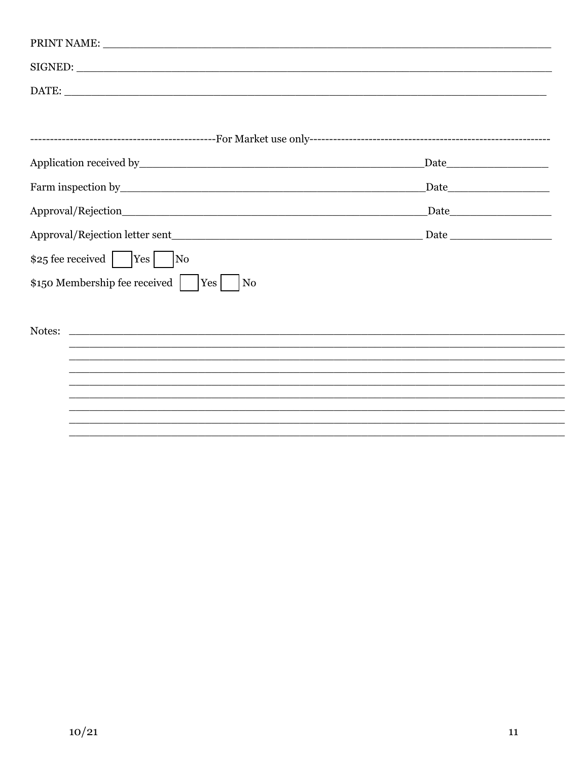| SIGNED:                                                                                                                         |  |
|---------------------------------------------------------------------------------------------------------------------------------|--|
|                                                                                                                                 |  |
|                                                                                                                                 |  |
|                                                                                                                                 |  |
|                                                                                                                                 |  |
|                                                                                                                                 |  |
|                                                                                                                                 |  |
|                                                                                                                                 |  |
| $$25$ fee received    Yes    No                                                                                                 |  |
| $\frac{1}{2}$ 150 Membership fee received     Yes<br>N <sub>0</sub>                                                             |  |
|                                                                                                                                 |  |
| Notes:<br><u> 1989 - Andrea Santa Andrea Santa Andrea Andrea Santa Andrea Santa Andrea Santa Andrea Santa Andrea Santa Andr</u> |  |
|                                                                                                                                 |  |
|                                                                                                                                 |  |
|                                                                                                                                 |  |
|                                                                                                                                 |  |
|                                                                                                                                 |  |